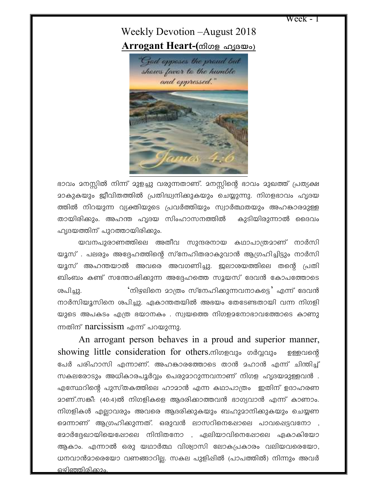Week - 1

## Weekly Devotion –August 2018  $\bf{ArrayPart}$  **Heart-(**നിഗള ഹൃദയം)



ഭാവം മനസ്സിൽ നിന്ന് മുളച്ചു വരുന്നതാണ്. മനസ്സിന്റെ ഭാവം മുഖത്ത് പ്രത്യക്ഷ <u>ാാകുകയും ജീവിതത്തിൽ പ്രതിദ്ധ്വനിക്കുകയും ചെയ്യുന്നു. നിഗളഭാവം ഹൃദയ</u> ത്തിൽ നിറയുന്ന വ്യക്തിയുടെ പ്രവർത്തിയും സ്വാർത്ഥതയും അഹങ്കാരമുള്ള തായിരിക്കും. അഹന്ത ഹൃദയ സിംഹാസനത്തിൽ കുടിയിരുന്നാൽ ദൈവം ഹൃദയത്തിന് പുറത്തായിരിക്കും.

യവനപുരാണത്തിലെ അതീവ സുന്ദരനായ കഥാപാത്രമാണ് നാർസി യൂസ് . പലരും അദ്ദേഹത്തിന്റെ സ്നേഹിതരാകുവാൻ ആഗ്രഹിച്ചിട്ടും നാർസി യൂസ് അഹന്തയാൽ അവരെ അവഗണിച്ചു. ജലാശയത്തിലെ തന്റെ പ്രതി ബിംബം കണ്ട് സന്തോഷിക്കുന്ന അദ്ദേഹത്തെ സൂയസ് ദേവൻ കോപത്തോടെ i]n-¨p. '\ng-ens\ am{Xw kvt\ln-¡p-¶-h-\m-Is«' F¶v tZh³ നാർസിയൂസിനെ ശപിച്ചു. ഏകാന്തതയിൽ അഭയം തേടേണ്ടതായി വന്ന നിഗളി യുടെ അപകടം എത്ര ഭയാനകം . സ്വയത്തെ നിഗള $2$ നോഭാവത്തോടെ കാണു ന്നതിന് narcissism എന്ന് പറയുന്നു.

An arrogant person behaves in a proud and superior manner, showing little consideration for others. Mogal of podgalo program of പേർ പരിഹാസി എന്നാണ്. അഹങ്കാരത്തോടെ താൻ മഹാൻ എന്ന് ചിന്തിച്ച് സകലരോടും അധികാരപൂർവ്വം പെരുമാറുന്നവനാണ് നിഗള ഹൃദയമുള്ളവൻ . എമ്പേറിന്റെ പുസ്തകത്തിലെ ഹാമാൻ എന്ന കഥാപാത്രം ഇതിന് ഉദാഹരണ മാണ്.സങ്കീ: (40:4)ൽ നിഗളികളെ ആദരിക്കാത്തവൻ ഭാഗ്യവാൻ എന്ന് കാണാം. നിഗളികൾ എല്ലാവരും അവരെ ആദരിക്കുകയും ബഹുമാനിക്കുകയും ചെയ്യണ മെന്നാണ് ആഗ്രഹിക്കുന്നത്. ഒരുവൻ ലാസറിനെഷോലെ പാവപ്പെട്ടവനോ , ഭോർദ്ദേഖായിയെഷോലെ നിന്ദിതനോ , ഏലിയാവിനെപ്പോലെ ഏകാകിയോ ആകാം. എന്നാൽ ഒരു യഥാർത്ഥ വിശ്വാസി ലോകപ്രകാരം വലിയവരെയോ, ധനവാൻമാരെയോ വണങ്ങാറില്ല. സകല പുളിഷിൽ (പാപത്തിൽ) നിന്നും അവർ ഒഴിഞ്ഞിരിക്കാം